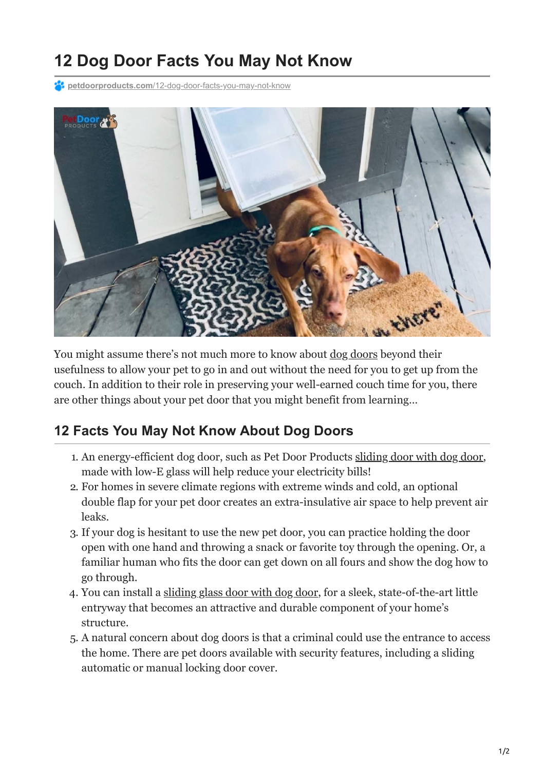## **12 Dog Door Facts You May Not Know**

**P4 petdoorproducts.com[/12-dog-door-facts-you-may-not-know](https://petdoorproducts.com/12-dog-door-facts-you-may-not-know/)** 



You might assume there's not much more to know about  $\frac{d^{3}q}{d^{3}q^{2}}$  beyond their usefulness to allow your pet to go in and out without the need for you to get up from the couch. In addition to their role in preserving your well-earned couch time for you, there are other things about your pet door that you might benefit from learning…

## **12 Facts You May Not Know About Dog Doors**

- 1. An energy-efficient dog door, such as Pet Door Products [sliding door with dog door](https://petdoorproducts.com/product/sliding-glass-dog-door/), made with low-E glass will help reduce your electricity bills!
- 2. For homes in severe climate regions with extreme winds and cold, an optional double flap for your pet door creates an extra-insulative air space to help prevent air leaks.
- 3. If your dog is hesitant to use the new pet door, you can practice holding the door open with one hand and throwing a snack or favorite toy through the opening. Or, a familiar human who fits the door can get down on all fours and show the dog how to go through.
- 4. You can install a [sliding glass door with dog door](https://petdoorproducts.com/product/endura-flap-thermo-panel/), for a sleek, state-of-the-art little entryway that becomes an attractive and durable component of your home's structure.
- 5. A natural concern about dog doors is that a criminal could use the entrance to access the home. There are pet doors available with security features, including a sliding automatic or manual locking door cover.